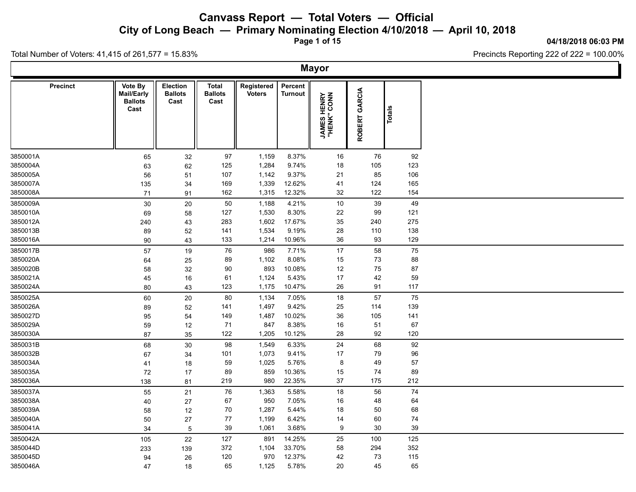**City of Long Beach — Primary Nominating Election 4/10/2018 — April 10, 2018**

**Page 1 of 15**

#### **04/18/2018 06:03 PM**

Total Number of Voters: 41,415 of 261,577 = 15.83%

|          |                 |                                                 |                                           |                                        |                             |                           | <b>Mayor</b>                       |               |               |  |
|----------|-----------------|-------------------------------------------------|-------------------------------------------|----------------------------------------|-----------------------------|---------------------------|------------------------------------|---------------|---------------|--|
|          | <b>Precinct</b> | Vote By<br>Mail/Early<br><b>Ballots</b><br>Cast | <b>Election</b><br><b>Ballots</b><br>Cast | <b>Total</b><br><b>Ballots</b><br>Cast | Registered<br><b>Voters</b> | Percent<br><b>Turnout</b> | <b>JAMES HENRY</b><br>"HENK" CONN" | ROBERT GARCIA | <b>Totals</b> |  |
| 3850001A |                 | 65                                              | 32                                        | 97                                     | 1,159                       | 8.37%                     | 16                                 | 76            | 92            |  |
| 3850004A |                 | 63                                              | 62                                        | 125                                    | 1,284                       | 9.74%                     | 18                                 | 105           | 123           |  |
| 3850005A |                 | 56                                              | 51                                        | 107                                    | 1,142                       | 9.37%                     | 21                                 | 85            | 106           |  |
| 3850007A |                 | 135                                             | 34                                        | 169                                    | 1,339                       | 12.62%                    | 41                                 | 124           | 165           |  |
| 3850008A |                 | 71                                              | 91                                        | 162                                    | 1,315                       | 12.32%                    | 32                                 | 122           | 154           |  |
| 3850009A |                 | 30                                              | 20                                        | 50                                     | 1,188                       | 4.21%                     | 10                                 | 39            | 49            |  |
| 3850010A |                 | 69                                              | 58                                        | 127                                    | 1,530                       | 8.30%                     | 22                                 | 99            | 121           |  |
| 3850012A |                 | 240                                             | 43                                        | 283                                    | 1,602                       | 17.67%                    | 35                                 | 240           | 275           |  |
| 3850013B |                 | 89                                              | 52                                        | 141                                    | 1,534                       | 9.19%                     | 28                                 | 110           | 138           |  |
| 3850016A |                 | 90                                              | 43                                        | 133                                    | 1,214                       | 10.96%                    | 36                                 | 93            | 129           |  |
| 3850017B |                 | 57                                              | 19                                        | 76                                     | 986                         | 7.71%                     | 17                                 | 58            | 75            |  |
| 3850020A |                 | 64                                              | 25                                        | 89                                     | 1,102                       | 8.08%                     | 15                                 | 73            | 88            |  |
| 3850020B |                 | 58                                              | 32                                        | 90                                     | 893                         | 10.08%                    | 12                                 | 75            | 87            |  |
| 3850021A |                 | 45                                              | 16                                        | 61                                     | 1,124                       | 5.43%                     | 17                                 | 42            | 59            |  |
| 3850024A |                 | 80                                              | 43                                        | 123                                    | 1,175                       | 10.47%                    | 26                                 | 91            | 117           |  |
| 3850025A |                 | 60                                              | 20                                        | 80                                     | 1,134                       | 7.05%                     | 18                                 | 57            | 75            |  |
| 3850026A |                 | 89                                              | 52                                        | 141                                    | 1,497                       | 9.42%                     | 25                                 | 114           | 139           |  |
| 3850027D |                 | 95                                              | 54                                        | 149                                    | 1,487                       | 10.02%                    | 36                                 | 105           | 141           |  |
| 3850029A |                 | 59                                              | 12                                        | 71                                     | 847                         | 8.38%                     | 16                                 | 51            | 67            |  |
| 3850030A |                 | 87                                              | 35                                        | 122                                    | 1,205                       | 10.12%                    | 28                                 | 92            | 120           |  |
| 3850031B |                 | 68                                              | 30                                        | 98                                     | 1,549                       | 6.33%                     | 24                                 | 68            | 92            |  |
| 3850032B |                 | 67                                              | 34                                        | 101                                    | 1,073                       | 9.41%                     | 17                                 | 79            | 96            |  |
| 3850034A |                 | 41                                              | 18                                        | 59                                     | 1,025                       | 5.76%                     | 8                                  | 49            | 57            |  |
| 3850035A |                 | 72                                              | 17                                        | 89                                     | 859                         | 10.36%                    | 15                                 | $74\,$        | 89            |  |
| 3850036A |                 | 138                                             | 81                                        | 219                                    | 980                         | 22.35%                    | 37                                 | 175           | 212           |  |
| 3850037A |                 | 55                                              | 21                                        | 76                                     | 1,363                       | 5.58%                     | 18                                 | 56            | 74            |  |
| 3850038A |                 | 40                                              | 27                                        | 67                                     | 950                         | 7.05%                     | 16                                 | 48            | 64            |  |
| 3850039A |                 | 58                                              | 12                                        | 70                                     | 1,287                       | 5.44%                     | 18                                 | 50            | 68            |  |
| 3850040A |                 | 50                                              | 27                                        | 77                                     | 1,199                       | 6.42%                     | 14                                 | 60            | 74            |  |
| 3850041A |                 | 34                                              | 5                                         | 39                                     | 1,061                       | 3.68%                     | 9                                  | 30            | 39            |  |
| 3850042A |                 | 105                                             | 22                                        | 127                                    | 891                         | 14.25%                    | 25                                 | 100           | 125           |  |
| 3850044D |                 | 233                                             | 139                                       | 372                                    | 1,104                       | 33.70%                    | 58                                 | 294           | 352           |  |
| 3850045D |                 | 94                                              | 26                                        | 120                                    | 970                         | 12.37%                    | 42                                 | 73            | 115           |  |
| 3850046A |                 | 47                                              | 18                                        | 65                                     | 1,125                       | 5.78%                     | 20                                 | 45            | 65            |  |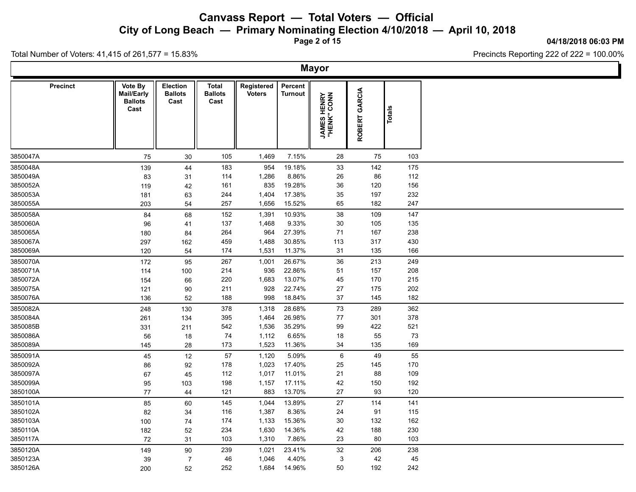**City of Long Beach — Primary Nominating Election 4/10/2018 — April 10, 2018**

**Page 2 of 15**

**04/18/2018 06:03 PM**

Precincts Reporting 222 of 222 = 100.00%

Total Number of Voters: 41,415 of 261,577 = 15.83%

**Mayor Precinct**  $\parallel$  Vote By  $\parallel$  Election  $\parallel$  Total **Ballots Ballots Cast Cast Total Registered** Voters<br>
Turnout<br> **Voters**<br>
Turnout<br> **Voters**<br> **Voters**<br> **Voters**<br> **Voters**<br> **Voters**<br> **Voters**<br> **Voters**<br> **Voter**<br> **Voter**<br> **Voter**<br> **Voter**<br> **Voter**<br> **Voter**<br> **Voter**<br> **Voter**<br> **Voter Percent** Turnout<br> **Turnout**<br>
THENK" CONN<br>
"HENK" CONN<br>
ROBERT GARCIA<br>
Totals **Mail/Early Ballots Cast** 3850047A 75 30 105 1,469 7.15% 28 75 103 3850048A 139 44 183 954 19.18% 33 142 175 3850049A 83 31 114 1,286 8.86% 26 86 112 3850052A 119 42 161 835 19.28% 36 120 156 3850053A 181 63 244 1,404 17.38% 35 197 232 3850055A 203 54 257 1,656 15.52% 65 182 247 3850058A 84 68 152 1,391 10.93% 38 109 147 3850060A 96 41 137 1,468 9.33% 30 105 135 3850065A 180 84 264 964 27.39% 71 167 238 3850067A 297 162 459 1,488 30.85% 113 317 430 3850069A 120 54 174 1,531 11.37% 31 135 166 3850070A 172 95 267 1,001 26.67% 36 213 249 3850071A 114 100 214 936 22.86% 51 157 208 3850072A 154 66 220 1,683 13.07% 45 170 215 3850075A 121 90 211 928 22.74% 27 175 202 3850076A 136 52 188 998 18.84% 37 145 182 3850082A 248 130 378 1,318 28.68% 73 289 362 3850084A 261 134 395 1,464 26.98% 77 301 378 3850085B 331 211 542 1,536 35.29% 99 422 521 3850086A 56 18 74 1,112 6.65% 18 55 73 3850089A 145 28 173 1,523 11.36% 34 135 169 3850091A 45 12 57 1,120 5.09% 6 49 55 3850092A 86 92 178 1,023 17.40% 25 145 170 3850097A 67 45 112 1,017 11.01% 21 88 109 3850099A 95 103 198 1,157 17.11% 42 150 192 3850100A 77 44 121 883 13.70% 27 93 120 3850101A 85 60 145 1,044 13.89% 27 114 141 3850102A 82 34 116 1,387 8.36% 24 91 115 3850103A 100 74 174 1,133 15.36% 30 132 162 3850110A 182 52 234 1,630 14.36% 42 188 230 3850117A 72 31 103 1,310 7.86% 23 80 103 3850120A 149 90 239 1,021 23.41% 32 206 238 3850123A 39 7 46 1,046 4.40% 3 42 45 3850126A 200 52 252 1,684 14.96% 50 192 242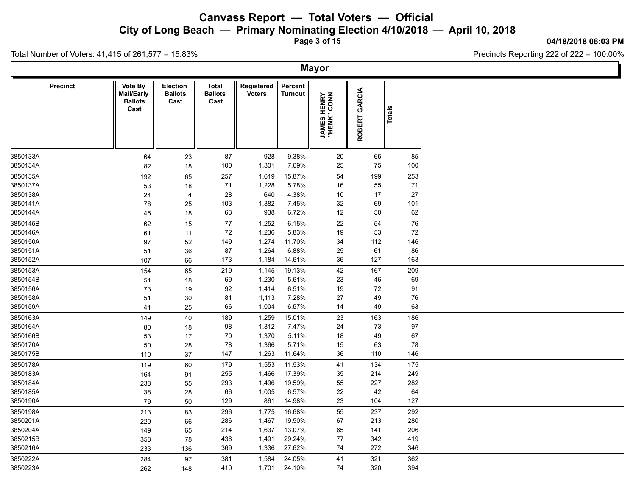**City of Long Beach — Primary Nominating Election 4/10/2018 — April 10, 2018**

**Page 3 of 15**

#### **04/18/2018 06:03 PM**

Precincts Reporting 222 of 222 = 100.00%

Total Number of Voters: 41,415 of 261,577 = 15.83%

**Mayor Precinct**  $\parallel$  Vote By  $\parallel$  Election  $\parallel$  Total **Ballots Ballots Cast Cast Total Registered** Voters<br>
Turnout<br> **Voters**<br>
Turnout<br> **Voters**<br> **Voters**<br> **Voters**<br> **Voters**<br> **Voters**<br> **Voters**<br> **Voters**<br> **Voter**<br> **Voter**<br> **Voter**<br> **Voter**<br> **Voter**<br> **Voter**<br> **Voter**<br> **Voter**<br> **Voter Percent** Turnout<br> **Turnout**<br>
THENK" CONN<br>
"HENK" CONN<br>
ROBERT GARCIA<br>
Totals **Mail/Early Ballots Cast** 3850133A 64 23 87 928 9.38% 20 65 85 3850134A 82 18 100 1,301 7.69% 25 75 100 3850135A 192 65 257 1,619 15.87% 54 199 253 3850137A 53 18 71 1,228 5.78% 16 55 71 3850138A 24 4 28 640 4.38% 10 17 27 3850141A 78 25 103 1,382 7.45% 32 69 101 3850144A 45 18 63 938 6.72% 12 50 62 3850145B 62 15 77 1,252 6.15% 22 54 76 3850146A 61 11 72 1,236 5.83% 19 53 72 3850150A 97 52 149 1,274 11.70% 34 112 146 3850151A 51 36 87 1,264 6.88% 25 61 86 3850152A 107 66 173 1,184 14.61% 36 127 163 3850153A 154 65 219 1,145 19.13% 42 167 209 3850154B 51 18 69 1,230 5.61% 23 46 69 3850156A 73 19 92 1,414 6.51% 19 72 91 3850158A 51 30 81 1,113 7.28% 27 49 76 3850159A 41 25 66 1,004 6.57% 14 49 63 3850163A 149 40 189 1,259 15.01% 23 163 186 3850164A 80 18 98 1,312 7.47% 24 73 97 3850166B 53 17 70 1,370 5.11% 18 49 67 3850170A 50 28 78 1,366 5.71% 15 63 78 3850175B 110 37 147 1,263 11.64% 36 110 146 3850178A 119 60 179 1,553 11.53% 41 134 175 3850183A 164 91 255 1,466 17.39% 35 214 249 3850184A 238 55 293 1,496 19.59% 55 227 282 3850185A 38 28 66 1,005 6.57% 22 42 64 3850190A 79 50 129 861 14.98% 23 104 127 3850198A 213 83 296 1,775 16.68% 55 237 292 3850201A 220 66 286 1,467 19.50% 67 213 280 3850204A 149 65 214 1,637 13.07% 65 141 206 3850215B 358 78 436 1,491 29.24% 77 342 419 3850216A 233 136 369 1,336 27.62% 74 272 346 3850222A 284 97 381 1,584 24.05% 41 321 362 3850223A 262 148 410 1,701 24.10% 74 320 394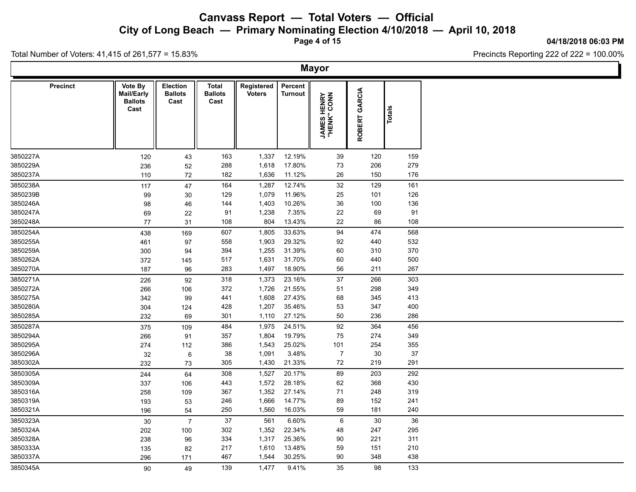**City of Long Beach — Primary Nominating Election 4/10/2018 — April 10, 2018**

**Page 4 of 15**

#### **04/18/2018 06:03 PM**

Ъ

Precincts Reporting 222 of 222 = 100.00%

Total Number of Voters: 41,415 of 261,577 = 15.83%

Γ

|                 |                                                 |                                    |                                        |                             |                    | <b>Mayor</b>                       |               |        |  |
|-----------------|-------------------------------------------------|------------------------------------|----------------------------------------|-----------------------------|--------------------|------------------------------------|---------------|--------|--|
| <b>Precinct</b> | Vote By<br>Mail/Early<br><b>Ballots</b><br>Cast | Election<br><b>Ballots</b><br>Cast | <b>Total</b><br><b>Ballots</b><br>Cast | Registered<br><b>Voters</b> | Percent<br>Turnout | <b>JAMES HENRY</b><br>"HENK" CONN" | ROBERT GARCIA | Totals |  |
| 3850227A        | 120                                             | 43                                 | 163                                    | 1,337                       | 12.19%             | $39\,$                             | 120           | 159    |  |
| 3850229A        | 236                                             | $52\,$                             | 288                                    | 1,618                       | 17.80%             | 73                                 | 206           | 279    |  |
| 3850237A        | 110                                             | 72                                 | 182                                    | 1,636                       | 11.12%             | 26                                 | 150           | 176    |  |
| 3850238A        | 117                                             | 47                                 | 164                                    | 1,287                       | 12.74%             | 32                                 | 129           | 161    |  |
| 3850239B        | 99                                              | 30                                 | 129                                    | 1,079                       | 11.96%             | 25                                 | 101           | 126    |  |
| 3850246A        | 98                                              | 46                                 | 144                                    | 1,403                       | 10.26%             | 36                                 | 100           | 136    |  |
| 3850247A        | 69                                              | 22                                 | 91                                     | 1,238                       | 7.35%              | 22                                 | 69            | 91     |  |
| 3850248A        | 77                                              | 31                                 | 108                                    | 804                         | 13.43%             | 22                                 | 86            | 108    |  |
| 3850254A        | 438                                             | 169                                | 607                                    | 1,805                       | 33.63%             | 94                                 | 474           | 568    |  |
| 3850255A        | 461                                             | 97                                 | 558                                    | 1,903                       | 29.32%             | 92                                 | 440           | 532    |  |
| 3850259A        | 300                                             | 94                                 | 394                                    | 1,255                       | 31.39%             | 60                                 | 310           | 370    |  |
| 3850262A        | 372                                             | 145                                | 517                                    | 1,631                       | 31.70%             | 60                                 | 440           | 500    |  |
| 3850270A        | 187                                             | 96                                 | 283                                    | 1,497                       | 18.90%             | 56                                 | 211           | 267    |  |
| 3850271A        | 226                                             | 92                                 | 318                                    | 1,373                       | 23.16%             | 37                                 | 266           | 303    |  |
| 3850272A        | 266                                             | 106                                | 372                                    | 1,726                       | 21.55%             | 51                                 | 298           | 349    |  |
| 3850275A        | 342                                             | 99                                 | 441                                    | 1,608                       | 27.43%             | 68                                 | 345           | 413    |  |
| 3850280A        | 304                                             | 124                                | 428                                    | 1,207                       | 35.46%             | 53                                 | 347           | 400    |  |
| 3850285A        | 232                                             | 69                                 | 301                                    | 1,110                       | 27.12%             | 50                                 | 236           | 286    |  |
| 3850287A        | 375                                             | 109                                | 484                                    | 1,975                       | 24.51%             | 92                                 | 364           | 456    |  |
| 3850294A        | 266                                             | 91                                 | 357                                    | 1,804                       | 19.79%             | 75                                 | 274           | 349    |  |
| 3850295A        | 274                                             | 112                                | 386                                    | 1,543                       | 25.02%             | 101                                | 254           | 355    |  |
| 3850296A        | 32                                              | 6                                  | 38                                     | 1,091                       | 3.48%              | $\overline{7}$                     | 30            | 37     |  |
| 3850302A        | 232                                             | 73                                 | 305                                    | 1,430                       | 21.33%             | 72                                 | 219           | 291    |  |
| 3850305A        | 244                                             | 64                                 | 308                                    | 1,527                       | 20.17%             | 89                                 | 203           | 292    |  |
| 3850309A        | 337                                             | 106                                | 443                                    | 1,572                       | 28.18%             | 62                                 | 368           | 430    |  |
| 3850316A        | 258                                             | 109                                | 367                                    | 1,352                       | 27.14%             | 71                                 | 248           | 319    |  |
| 3850319A        | 193                                             | 53                                 | 246                                    | 1,666                       | 14.77%             | 89                                 | 152           | 241    |  |
| 3850321A        | 196                                             | 54                                 | 250                                    | 1,560                       | 16.03%             | 59                                 | 181           | 240    |  |
| 3850323A        | 30                                              | $\overline{7}$                     | 37                                     | 561                         | 6.60%              | $\,6\,$                            | 30            | 36     |  |
| 3850324A        | 202                                             | 100                                | 302                                    | 1,352                       | 22.34%             | 48                                 | 247           | 295    |  |
| 3850328A        | 238                                             | 96                                 | 334                                    | 1,317                       | 25.36%             | $90\,$                             | 221           | 311    |  |
| 3850333A        | 135                                             | 82                                 | 217                                    | 1,610                       | 13.48%             | 59                                 | 151           | 210    |  |
| 3850337A        | 296                                             | 171                                | 467                                    | 1,544                       | 30.25%             | 90                                 | 348           | 438    |  |
| 3850345A        | 90                                              | 49                                 | 139                                    | 1,477                       | 9.41%              | 35                                 | 98            | 133    |  |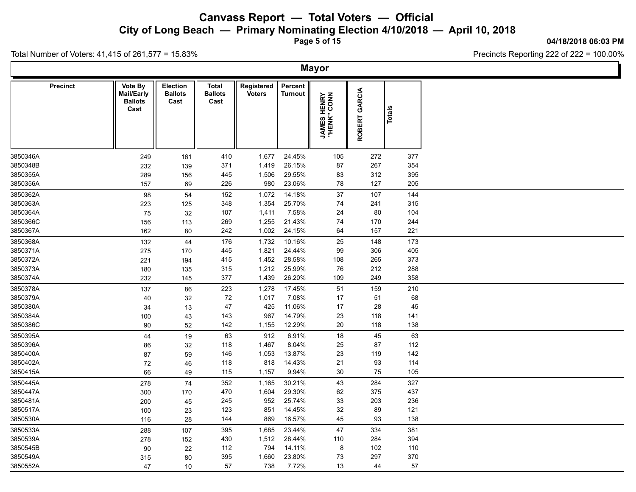**City of Long Beach — Primary Nominating Election 4/10/2018 — April 10, 2018**

**Page 5 of 15**

#### **04/18/2018 06:03 PM**

h.

Precincts Reporting 222 of 222 = 100.00%

|                 |                                                 |                                           |                                        |                             |                           | <b>Mayor</b>                      |               |               |  |
|-----------------|-------------------------------------------------|-------------------------------------------|----------------------------------------|-----------------------------|---------------------------|-----------------------------------|---------------|---------------|--|
| <b>Precinct</b> | Vote By<br>Mail/Early<br><b>Ballots</b><br>Cast | <b>Election</b><br><b>Ballots</b><br>Cast | <b>Total</b><br><b>Ballots</b><br>Cast | Registered<br><b>Voters</b> | Percent<br><b>Turnout</b> | <b>JAMES HENRY</b><br>"HENK" CONN | ROBERT GARCIA | <b>Totals</b> |  |
| 3850346A        | 249                                             | 161                                       | 410                                    | 1,677                       | 24.45%                    | 105                               | 272           | 377           |  |
| 3850348B        | 232                                             | 139                                       | 371                                    | 1,419                       | 26.15%                    | 87                                | 267           | 354           |  |
| 3850355A        | 289                                             | 156                                       | 445                                    | 1,506                       | 29.55%                    | 83                                | 312           | 395           |  |
| 3850356A        | 157                                             | 69                                        | 226                                    | 980                         | 23.06%                    | 78                                | 127           | 205           |  |
| 3850362A        | 98                                              | 54                                        | 152                                    | 1,072                       | 14.18%                    | 37                                | 107           | 144           |  |
| 3850363A        | 223                                             | 125                                       | 348                                    | 1,354                       | 25.70%                    | 74                                | 241           | 315           |  |
| 3850364A        | 75                                              | 32                                        | 107                                    | 1,411                       | 7.58%                     | 24                                | 80            | 104           |  |
| 3850366C        | 156                                             | 113                                       | 269                                    | 1,255                       | 21.43%                    | 74                                | 170           | 244           |  |
| 3850367A        | 162                                             | 80                                        | 242                                    | 1,002                       | 24.15%                    | 64                                | 157           | 221           |  |
| 3850368A        | 132                                             | 44                                        | 176                                    | 1,732                       | 10.16%                    | 25                                | 148           | 173           |  |
| 3850371A        | 275                                             | 170                                       | 445                                    | 1,821                       | 24.44%                    | 99                                | 306           | 405           |  |
| 3850372A        | 221                                             | 194                                       | 415                                    | 1,452                       | 28.58%                    | 108                               | 265           | 373           |  |
| 3850373A        | 180                                             | 135                                       | 315                                    | 1,212                       | 25.99%                    | 76                                | 212           | 288           |  |
| 3850374A        | 232                                             | 145                                       | 377                                    | 1,439                       | 26.20%                    | 109                               | 249           | 358           |  |
| 3850378A        | 137                                             | 86                                        | 223                                    | 1,278                       | 17.45%                    | 51                                | 159           | 210           |  |
| 3850379A        | 40                                              | 32                                        | 72                                     | 1,017                       | 7.08%                     | 17                                | 51            | 68            |  |
| 3850380A        | 34                                              | 13                                        | 47                                     | 425                         | 11.06%                    | 17                                | 28            | 45            |  |
| 3850384A        | 100                                             | 43                                        | 143                                    | 967                         | 14.79%                    | 23                                | 118           | 141           |  |
| 3850386C        | 90                                              | 52                                        | 142                                    | 1,155                       | 12.29%                    | 20                                | 118           | 138           |  |
| 3850395A        | 44                                              | 19                                        | 63                                     | 912                         | 6.91%                     | 18                                | 45            | 63            |  |
| 3850396A        | 86                                              | 32                                        | 118                                    | 1,467                       | 8.04%                     | 25                                | 87            | 112           |  |
| 3850400A        | 87                                              | 59                                        | 146                                    | 1,053                       | 13.87%                    | 23                                | 119           | 142           |  |
| 3850402A        | 72                                              | 46                                        | 118                                    | 818                         | 14.43%                    | 21                                | 93            | 114           |  |
| 3850415A        | 66                                              | 49                                        | 115                                    | 1,157                       | 9.94%                     | 30                                | 75            | 105           |  |
| 3850445A        | 278                                             | 74                                        | 352                                    | 1,165                       | 30.21%                    | 43                                | 284           | 327           |  |
| 3850447A        | 300                                             | 170                                       | 470                                    | 1,604                       | 29.30%                    | 62                                | 375           | 437           |  |
| 3850481A        | 200                                             | 45                                        | 245                                    | 952                         | 25.74%                    | 33                                | 203           | 236           |  |
| 3850517A        | 100                                             | 23                                        | 123                                    | 851                         | 14.45%                    | 32                                | 89            | 121           |  |
| 3850530A        | 116                                             | 28                                        | 144                                    | 869                         | 16.57%                    | 45                                | 93            | 138           |  |
| 3850533A        | 288                                             | 107                                       | 395                                    | 1,685                       | 23.44%                    | 47                                | 334           | 381           |  |
| 3850539A        | 278                                             | 152                                       | 430                                    | 1,512                       | 28.44%                    | 110                               | 284           | 394           |  |
| 3850545B        | 90                                              | 22                                        | 112                                    | 794                         | 14.11%                    | 8                                 | 102           | 110           |  |
| 3850549A        | 315                                             | 80                                        | 395                                    | 1,660                       | 23.80%                    | 73                                | 297           | 370           |  |
| 3850552A        | 47                                              | 10 <sup>1</sup>                           | 57                                     | 738                         | 7.72%                     | 13                                | 44            | 57            |  |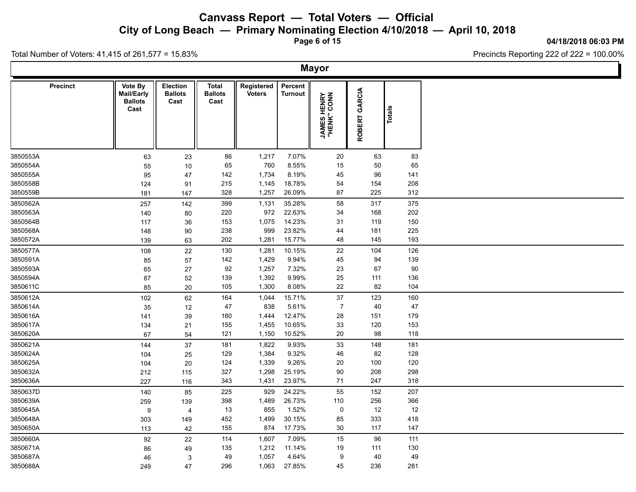**City of Long Beach — Primary Nominating Election 4/10/2018 — April 10, 2018**

**Page 6 of 15**

Total Number of Voters: 41,415 of 261,577 = 15.83%

#### **04/18/2018 06:03 PM**

|          |                 |                                                 |                                           |                                        |                             |                           | <b>Mayor</b>                       |               |               |  |
|----------|-----------------|-------------------------------------------------|-------------------------------------------|----------------------------------------|-----------------------------|---------------------------|------------------------------------|---------------|---------------|--|
|          | <b>Precinct</b> | Vote By<br>Mail/Early<br><b>Ballots</b><br>Cast | <b>Election</b><br><b>Ballots</b><br>Cast | <b>Total</b><br><b>Ballots</b><br>Cast | Registered<br><b>Voters</b> | Percent<br><b>Turnout</b> | <b>JAMES HENRY</b><br>"HENK" CONN" | ROBERT GARCIA | <b>Totals</b> |  |
| 3850553A |                 | 63                                              | 23                                        | 86                                     | 1,217                       | 7.07%                     | 20                                 | 63            | 83            |  |
| 3850554A |                 | 55                                              | 10                                        | 65                                     | 760                         | 8.55%                     | 15                                 | 50            | 65            |  |
| 3850555A |                 | 95                                              | 47                                        | 142                                    | 1,734                       | 8.19%                     | 45                                 | 96            | 141           |  |
| 3850558B |                 | 124                                             | 91                                        | 215                                    | 1,145                       | 18.78%                    | 54                                 | 154           | 208           |  |
| 3850559B |                 | 181                                             | 147                                       | 328                                    | 1,257                       | 26.09%                    | 87                                 | 225           | 312           |  |
| 3850562A |                 | 257                                             | 142                                       | 399                                    | 1,131                       | 35.28%                    | 58                                 | 317           | 375           |  |
| 3850563A |                 | 140                                             | 80                                        | 220                                    | 972                         | 22.63%                    | 34                                 | 168           | 202           |  |
| 3850564B |                 | 117                                             | 36                                        | 153                                    | 1,075                       | 14.23%                    | 31                                 | 119           | 150           |  |
| 3850568A |                 | 148                                             | 90                                        | 238                                    | 999                         | 23.82%                    | 44                                 | 181           | 225           |  |
| 3850572A |                 | 139                                             | 63                                        | 202                                    | 1,281                       | 15.77%                    | 48                                 | 145           | 193           |  |
| 3850577A |                 | 108                                             | 22                                        | 130                                    | 1,281                       | 10.15%                    | 22                                 | 104           | 126           |  |
| 3850591A |                 | 85                                              | 57                                        | 142                                    | 1,429                       | 9.94%                     | 45                                 | 94            | 139           |  |
| 3850593A |                 | 65                                              | 27                                        | 92                                     | 1,257                       | 7.32%                     | 23                                 | 67            | 90            |  |
| 3850594A |                 | 87                                              | 52                                        | 139                                    | 1,392                       | 9.99%                     | 25                                 | 111           | 136           |  |
| 3850611C |                 | 85                                              | 20                                        | 105                                    | 1,300                       | 8.08%                     | 22                                 | 82            | 104           |  |
| 3850612A |                 | 102                                             | 62                                        | 164                                    | 1,044                       | 15.71%                    | 37                                 | 123           | 160           |  |
| 3850614A |                 | 35                                              | 12                                        | 47                                     | 838                         | 5.61%                     | $\overline{7}$                     | 40            | 47            |  |
| 3850616A |                 | 141                                             | 39                                        | 180                                    | 1,444                       | 12.47%                    | 28                                 | 151           | 179           |  |
| 3850617A |                 | 134                                             | 21                                        | 155                                    | 1,455                       | 10.65%                    | 33                                 | 120           | 153           |  |
| 3850620A |                 | 67                                              | 54                                        | 121                                    | 1,150                       | 10.52%                    | 20                                 | 98            | 118           |  |
| 3850621A |                 | 144                                             | 37                                        | 181                                    | 1,822                       | 9.93%                     | 33                                 | 148           | 181           |  |
| 3850624A |                 | 104                                             | 25                                        | 129                                    | 1,384                       | 9.32%                     | 46                                 | 82            | 128           |  |
| 3850625A |                 | 104                                             | 20                                        | 124                                    | 1,339                       | 9.26%                     | 20                                 | 100           | 120           |  |
| 3850632A |                 | 212                                             | 115                                       | 327                                    | 1,298                       | 25.19%                    | 90                                 | 208           | 298           |  |
| 3850636A |                 | 227                                             | 116                                       | 343                                    | 1,431                       | 23.97%                    | 71                                 | 247           | 318           |  |
| 3850637D |                 | 140                                             | 85                                        | 225                                    | 929                         | 24.22%                    | 55                                 | 152           | 207           |  |
| 3850639A |                 | 259                                             | 139                                       | 398                                    | 1,489                       | 26.73%                    | 110                                | 256           | 366           |  |
| 3850645A |                 | 9                                               | 4                                         | 13                                     | 855                         | 1.52%                     | $\mathsf 0$                        | 12            | $12$          |  |
| 3850648A |                 | 303                                             | 149                                       | 452                                    | 1,499                       | 30.15%                    | 85                                 | 333           | 418           |  |
| 3850650A |                 | 113                                             | 42                                        | 155                                    | 874                         | 17.73%                    | 30                                 | 117           | 147           |  |
| 3850660A |                 | 92                                              | 22                                        | 114                                    | 1,607                       | 7.09%                     | 15                                 | 96            | 111           |  |
| 3850671A |                 | 86                                              | 49                                        | 135                                    | 1,212                       | 11.14%                    | 19                                 | 111           | 130           |  |
| 3850687A |                 | 46                                              | 3                                         | 49                                     | 1,057                       | 4.64%                     | 9                                  | 40            | 49            |  |
| 3850688A |                 | 249                                             | 47                                        | 296                                    | 1,063                       | 27.85%                    | 45                                 | 236           | 281           |  |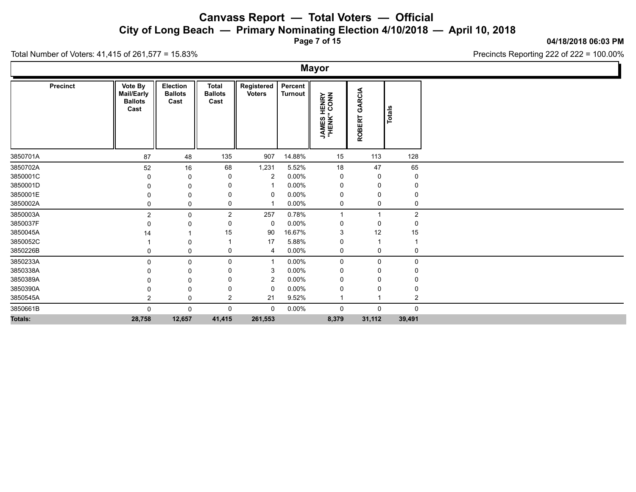**City of Long Beach — Primary Nominating Election 4/10/2018 — April 10, 2018**

**Page 7 of 15**

**04/18/2018 06:03 PM**

Precincts Reporting 222 of 222 = 100.00%

Total Number of Voters: 41,415 of 261,577 = 15.83%

 $\Gamma$ 

|                |                                                        |                                    |                                        |                             |                      | <b>Mayor</b>                       |                         |                |  |
|----------------|--------------------------------------------------------|------------------------------------|----------------------------------------|-----------------------------|----------------------|------------------------------------|-------------------------|----------------|--|
| Precinct       | Vote By<br><b>Mail/Early</b><br><b>Ballots</b><br>Cast | Election<br><b>Ballots</b><br>Cast | <b>Total</b><br><b>Ballots</b><br>Cast | Registered<br><b>Voters</b> | Percent  <br>Turnout | <b>JAMES HENRY</b><br>"HENK" CONN" | GARCIA<br><b>ROBERT</b> | Totals         |  |
| 3850701A       | 87                                                     | 48                                 | 135                                    | 907                         | 14.88%               | 15                                 | 113                     | 128            |  |
| 3850702A       | 52                                                     | 16                                 | 68                                     | 1,231                       | 5.52%                | 18                                 | 47                      | 65             |  |
| 3850001C       | 0                                                      | -0                                 | 0                                      | 2                           | 0.00%                | 0                                  | 0                       | 0              |  |
| 3850001D       | 0                                                      | 0                                  | 0                                      |                             | $0.00\%$             | 0                                  | 0                       | 0              |  |
| 3850001E       | $\Omega$                                               | 0                                  | 0                                      | 0                           | $0.00\%$             | 0                                  | 0                       | 0              |  |
| 3850002A       | 0                                                      | 0                                  | 0                                      |                             | 0.00%                | 0                                  | 0                       | 0              |  |
| 3850003A       | $\overline{2}$                                         | $\mathbf 0$                        | $\overline{2}$                         | 257                         | 0.78%                | $\mathbf{1}$                       | $\mathbf{1}$            | $\overline{c}$ |  |
| 3850037F       |                                                        | - 0                                | 0                                      | $\mathbf 0$                 | 0.00%                | 0                                  | 0                       | 0              |  |
| 3850045A       | 14                                                     |                                    | 15                                     | 90                          | 16.67%               | 3                                  | 12                      | 15             |  |
| 3850052C       |                                                        | 0                                  |                                        | 17                          | 5.88%                | 0                                  |                         | 1              |  |
| 3850226B       | 0                                                      | 0                                  | 0                                      | $\overline{4}$              | $0.00\%$             | 0                                  | 0                       | 0              |  |
| 3850233A       | $\Omega$                                               | $\mathbf 0$                        | 0                                      | - 1                         | $0.00\%$             | 0                                  | 0                       | 0              |  |
| 3850338A       | $\Omega$                                               | -0                                 | 0                                      | -3                          | $0.00\%$             | 0                                  | 0                       | 0              |  |
| 3850389A       |                                                        | 0                                  | 0                                      | $\overline{c}$              | $0.00\%$             | 0                                  | 0                       | 0              |  |
| 3850390A       |                                                        | - 0                                | 0                                      | $\mathbf 0$                 | 0.00%                | 0                                  | 0                       | 0              |  |
| 3850545A       | ົ                                                      | 0                                  | $\overline{2}$                         | 21                          | 9.52%                |                                    |                         | $\overline{c}$ |  |
| 3850661B       | $\mathbf 0$                                            | $\mathbf 0$                        | 0                                      | 0                           | $0.00\%$             | 0                                  | $\pmb{0}$               | $\pmb{0}$      |  |
| <b>Totals:</b> | 28,758                                                 | 12,657                             | 41,415                                 | 261,553                     |                      | 8,379                              | 31,112                  | 39,491         |  |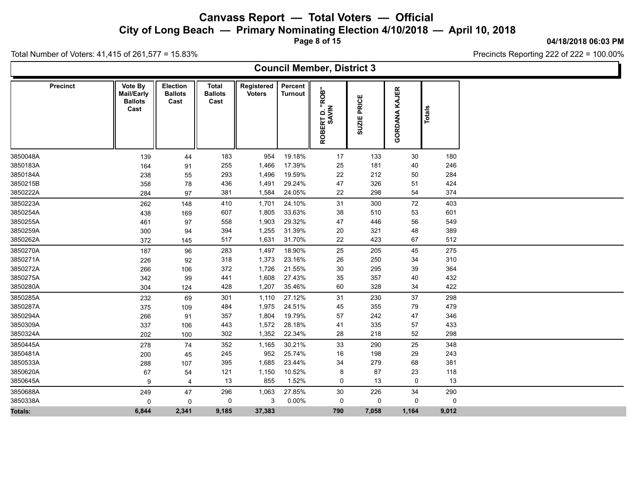**City of Long Beach — Primary Nominating Election 4/10/2018 — April 10, 2018**

**Page 8 of 15**

#### **04/18/2018 06:03 PM**

Precincts Reporting 222 of 222 = 100.00%

|                 |                                                 |                                    |                                        |                             |                           | <b>Council Member, District 3</b>      |                |                  |             |  |
|-----------------|-------------------------------------------------|------------------------------------|----------------------------------------|-----------------------------|---------------------------|----------------------------------------|----------------|------------------|-------------|--|
| <b>Precinct</b> | Vote By<br>Mail/Early<br><b>Ballots</b><br>Cast | Election<br><b>Ballots</b><br>Cast | <b>Total</b><br><b>Ballots</b><br>Cast | Registered<br><b>Voters</b> | Percent<br><b>Turnout</b> | ROB"<br>RT D. "I<br>SAVIN<br>面<br>ROBI | PRICE<br>SUZIE | KAJER<br>GORDANA | Total       |  |
| 3850048A        | 139                                             | 44                                 | 183                                    | 954                         | 19.18%                    | 17                                     | 133            | 30               | 180         |  |
| 3850183A        | 164                                             | 91                                 | 255                                    | 1,466                       | 17.39%                    | 25                                     | 181            | 40               | 246         |  |
| 3850184A        | 238                                             | 55                                 | 293                                    | 1,496                       | 19.59%                    | 22                                     | 212            | 50               | 284         |  |
| 3850215B        | 358                                             | 78                                 | 436                                    | 1,491                       | 29.24%                    | 47                                     | 326            | 51               | 424         |  |
| 3850222A        | 284                                             | 97                                 | 381                                    | 1,584                       | 24.05%                    | 22                                     | 298            | 54               | 374         |  |
| 3850223A        | 262                                             | 148                                | 410                                    | 1,701                       | 24.10%                    | 31                                     | 300            | 72               | 403         |  |
| 3850254A        | 438                                             | 169                                | 607                                    | 1,805                       | 33.63%                    | 38                                     | 510            | 53               | 601         |  |
| 3850255A        | 461                                             | 97                                 | 558                                    | 1,903                       | 29.32%                    | 47                                     | 446            | 56               | 549         |  |
| 3850259A        | 300                                             | 94                                 | 394                                    | 1,255                       | 31.39%                    | 20                                     | 321            | 48               | 389         |  |
| 3850262A        | 372                                             | 145                                | 517                                    | 1,631                       | 31.70%                    | 22                                     | 423            | 67               | 512         |  |
| 3850270A        | 187                                             | 96                                 | 283                                    | 1,497                       | 18.90%                    | 25                                     | 205            | 45               | 275         |  |
| 3850271A        | 226                                             | 92                                 | 318                                    | 1,373                       | 23.16%                    | 26                                     | 250            | 34               | 310         |  |
| 3850272A        | 266                                             | 106                                | 372                                    | 1,726                       | 21.55%                    | 30                                     | 295            | 39               | 364         |  |
| 3850275A        | 342                                             | 99                                 | 441                                    | 1,608                       | 27.43%                    | 35                                     | 357            | 40               | 432         |  |
| 3850280A        | 304                                             | 124                                | 428                                    | 1,207                       | 35.46%                    | 60                                     | 328            | 34               | 422         |  |
| 3850285A        | 232                                             | 69                                 | 301                                    | 1,110                       | 27.12%                    | 31                                     | 230            | 37               | 298         |  |
| 3850287A        | 375                                             | 109                                | 484                                    | 1,975                       | 24.51%                    | 45                                     | 355            | 79               | 479         |  |
| 3850294A        | 266                                             | 91                                 | 357                                    | 1,804                       | 19.79%                    | 57                                     | 242            | 47               | 346         |  |
| 3850309A        | 337                                             | 106                                | 443                                    | 1,572                       | 28.18%                    | 41                                     | 335            | 57               | 433         |  |
| 3850324A        | 202                                             | 100                                | 302                                    | 1,352                       | 22.34%                    | 28                                     | 218            | 52               | 298         |  |
| 3850445A        | 278                                             | 74                                 | 352                                    | 1,165                       | 30.21%                    | 33                                     | 290            | 25               | 348         |  |
| 3850481A        | 200                                             | 45                                 | 245                                    | 952                         | 25.74%                    | 16                                     | 198            | 29               | 243         |  |
| 3850533A        | 288                                             | 107                                | 395                                    | 1,685                       | 23.44%                    | 34                                     | 279            | 68               | 381         |  |
| 3850620A        | 67                                              | 54                                 | 121                                    | 1,150                       | 10.52%                    | 8                                      | 87             | 23               | 118         |  |
| 3850645A        | 9                                               | $\overline{4}$                     | 13                                     | 855                         | 1.52%                     | 0                                      | 13             | 0                | 13          |  |
| 3850688A        | 249                                             | 47                                 | 296                                    | 1,063                       | 27.85%                    | 30                                     | 226            | 34               | 290         |  |
| 3850338A        | 0                                               | $\mathbf 0$                        | $\Omega$                               | 3                           | 0.00%                     | 0                                      | 0              | 0                | $\mathbf 0$ |  |
| Totals:         | 6,844                                           | 2,341                              | 9,185                                  | 37,383                      |                           | 790                                    | 7,058          | 1,164            | 9,012       |  |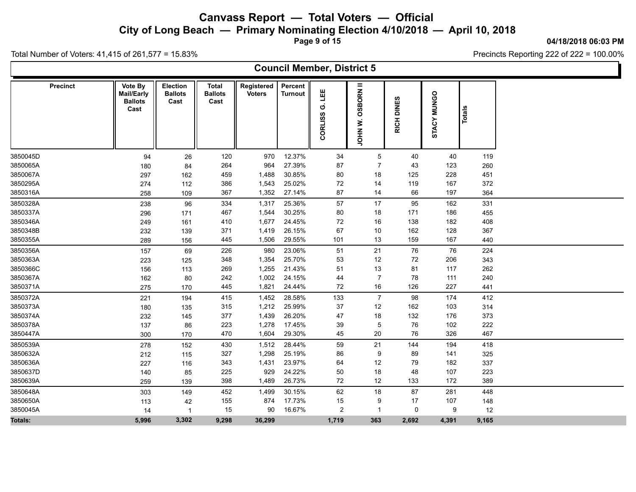**City of Long Beach — Primary Nominating Election 4/10/2018 — April 10, 2018**

**Page 9 of 15**

#### **04/18/2018 06:03 PM**

Precincts Reporting 222 of 222 = 100.00%

|                 |                                                        |                                    |                                        |                             |                           | <b>Council Member, District 5</b> |                                      |                                                     |             |        |  |
|-----------------|--------------------------------------------------------|------------------------------------|----------------------------------------|-----------------------------|---------------------------|-----------------------------------|--------------------------------------|-----------------------------------------------------|-------------|--------|--|
| <b>Precinct</b> | Vote By<br><b>Mail/Early</b><br><b>Ballots</b><br>Cast | Election<br><b>Ballots</b><br>Cast | <b>Total</b><br><b>Ballots</b><br>Cast | Registered<br><b>Voters</b> | Percent<br><b>Turnout</b> | 쁪<br>Ö<br>CORLISS                 | <b>OSBORN II</b><br>ż<br><b>NHOL</b> | <b>63</b><br>$\overline{\mathsf{a}}$<br><b>RICH</b> | STACY MUNGO | Totals |  |
| 3850045D        | 94                                                     | 26                                 | 120                                    | 970                         | 12.37%                    | 34                                | $5\overline{)}$                      | 40                                                  | 40          | 119    |  |
| 3850065A        | 180                                                    | 84                                 | 264                                    | 964                         | 27.39%                    | 87                                | 7                                    | 43                                                  | 123         | 260    |  |
| 3850067A        | 297                                                    | 162                                | 459                                    | 1,488                       | 30.85%                    | 80                                | 18                                   | 125                                                 | 228         | 451    |  |
| 3850295A        | 274                                                    | 112                                | 386                                    | 1,543                       | 25.02%                    | 72                                | 14                                   | 119                                                 | 167         | 372    |  |
| 3850316A        | 258                                                    | 109                                | 367                                    | 1,352                       | 27.14%                    | 87                                | 14                                   | 66                                                  | 197         | 364    |  |
| 3850328A        | 238                                                    | 96                                 | 334                                    | 1,317                       | 25.36%                    | 57                                | 17                                   | 95                                                  | 162         | 331    |  |
| 3850337A        | 296                                                    | 171                                | 467                                    | 1,544                       | 30.25%                    | 80                                | 18                                   | 171                                                 | 186         | 455    |  |
| 3850346A        | 249                                                    | 161                                | 410                                    | 1,677                       | 24.45%                    | 72                                | 16                                   | 138                                                 | 182         | 408    |  |
| 3850348B        | 232                                                    | 139                                | 371                                    | 1,419                       | 26.15%                    | 67                                | 10                                   | 162                                                 | 128         | 367    |  |
| 3850355A        | 289                                                    | 156                                | 445                                    | 1,506                       | 29.55%                    | 101                               | 13                                   | 159                                                 | 167         | 440    |  |
| 3850356A        | 157                                                    | 69                                 | 226                                    | 980                         | 23.06%                    | 51                                | 21                                   | 76                                                  | 76          | 224    |  |
| 3850363A        | 223                                                    | 125                                | 348                                    | 1,354                       | 25.70%                    | 53                                | 12                                   | 72                                                  | 206         | 343    |  |
| 3850366C        | 156                                                    | 113                                | 269                                    | 1,255                       | 21.43%                    | 51                                | 13                                   | 81                                                  | 117         | 262    |  |
| 3850367A        | 162                                                    | 80                                 | 242                                    | 1,002                       | 24.15%                    | 44                                | $\overline{7}$                       | 78                                                  | 111         | 240    |  |
| 3850371A        | 275                                                    | 170                                | 445                                    | 1,821                       | 24.44%                    | 72                                | 16                                   | 126                                                 | 227         | 441    |  |
| 3850372A        | 221                                                    | 194                                | 415                                    | 1,452                       | 28.58%                    | 133                               | $\overline{7}$                       | 98                                                  | 174         | 412    |  |
| 3850373A        | 180                                                    | 135                                | 315                                    | 1,212                       | 25.99%                    | 37                                | 12                                   | 162                                                 | 103         | 314    |  |
| 3850374A        | 232                                                    | 145                                | 377                                    | 1,439                       | 26.20%                    | 47                                | 18                                   | 132                                                 | 176         | 373    |  |
| 3850378A        | 137                                                    | 86                                 | 223                                    | 1,278                       | 17.45%                    | 39                                | 5                                    | 76                                                  | 102         | 222    |  |
| 3850447A        | 300                                                    | 170                                | 470                                    | 1,604                       | 29.30%                    | 45                                | 20                                   | 76                                                  | 326         | 467    |  |
| 3850539A        | 278                                                    | 152                                | 430                                    | 1,512                       | 28.44%                    | 59                                | 21                                   | 144                                                 | 194         | 418    |  |
| 3850632A        | 212                                                    | 115                                | 327                                    | 1,298                       | 25.19%                    | 86                                | 9                                    | 89                                                  | 141         | 325    |  |
| 3850636A        | 227                                                    | 116                                | 343                                    | 1,431                       | 23.97%                    | 64                                | 12                                   | 79                                                  | 182         | 337    |  |
| 3850637D        | 140                                                    | 85                                 | 225                                    | 929                         | 24.22%                    | 50                                | 18                                   | 48                                                  | 107         | 223    |  |
| 3850639A        | 259                                                    | 139                                | 398                                    | 1,489                       | 26.73%                    | 72                                | 12                                   | 133                                                 | 172         | 389    |  |
| 3850648A        | 303                                                    | 149                                | 452                                    | 1,499                       | 30.15%                    | 62                                | 18                                   | 87                                                  | 281         | 448    |  |
| 3850650A        | 113                                                    | 42                                 | 155                                    | 874                         | 17.73%                    | 15                                | 9                                    | 17                                                  | 107         | 148    |  |
| 3850045A        | 14                                                     | $\overline{1}$                     | 15                                     | 90                          | 16.67%                    | $\overline{c}$                    | $\overline{1}$                       | $\mathbf 0$                                         | 9           | 12     |  |
| Totals:         | 5,996                                                  | 3,302                              | 9,298                                  | 36,299                      |                           | 1,719                             | 363                                  | 2,692                                               | 4,391       | 9,165  |  |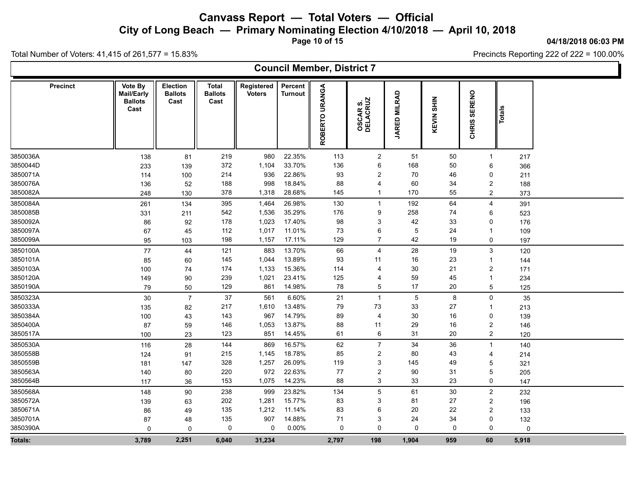**City of Long Beach — Primary Nominating Election 4/10/2018 — April 10, 2018**

**Page 10 of 15**

#### **04/18/2018 06:03 PM**

Precincts Reporting 222 of 222 = 100.00%

|                      |                 |                                                 |                                    |                                        |                             |                           | <b>Council Member, District 7</b> |                              |                     |                      |                               |                 |  |
|----------------------|-----------------|-------------------------------------------------|------------------------------------|----------------------------------------|-----------------------------|---------------------------|-----------------------------------|------------------------------|---------------------|----------------------|-------------------------------|-----------------|--|
|                      | <b>Precinct</b> | Vote By<br>Mail/Early<br><b>Ballots</b><br>Cast | Election<br><b>Ballots</b><br>Cast | <b>Total</b><br><b>Ballots</b><br>Cast | Registered<br><b>Voters</b> | Percent<br><b>Turnout</b> | <b>URANGA</b><br><b>ROBERTO</b>   | <b>OSCAR S.<br/>DELACRUZ</b> | <b>JARED MILRAD</b> | <b>SHIN</b><br>KEVIN | <b>SERENO</b><br><b>CHRIS</b> | Totals          |  |
| 3850036A             |                 | 138                                             | 81                                 | 219                                    | 980                         | 22.35%                    | 113                               | $\overline{2}$               | 51                  | 50                   | $\overline{1}$                | 217             |  |
| 3850044D             |                 | 233                                             | 139                                | 372                                    | 1,104                       | 33.70%                    | 136                               | 6                            | 168                 | 50                   | 6                             | 366             |  |
| 3850071A             |                 | 114                                             | 100                                | 214                                    | 936                         | 22.86%                    | 93                                | $\overline{2}$               | 70                  | 46                   | 0                             | 211             |  |
| 3850076A             |                 | 136                                             | 52                                 | 188                                    | 998                         | 18.84%                    | 88                                | 4                            | 60                  | 34                   | $\overline{2}$                | 188             |  |
| 3850082A             |                 | 248                                             | 130                                | 378                                    | 1,318                       | 28.68%                    | 145                               | $\mathbf{1}$                 | 170                 | 55                   | $\overline{2}$                | 373             |  |
| 3850084A             |                 | 261                                             | 134                                | 395                                    | 1,464                       | 26.98%                    | 130                               | $\mathbf{1}$                 | 192                 | 64                   | $\overline{4}$                | 391             |  |
| 3850085B             |                 | 331                                             | 211                                | 542                                    | 1,536                       | 35.29%                    | 176                               | 9                            | 258                 | 74                   | 6                             | 523             |  |
| 3850092A             |                 | 86                                              | 92                                 | 178                                    | 1,023                       | 17.40%                    | 98                                | 3                            | 42                  | 33                   | $\mathbf 0$                   | 176             |  |
| 3850097A             |                 | 67                                              | 45                                 | 112                                    | 1,017                       | 11.01%                    | 73                                | 6                            | 5                   | 24                   | -1                            | 109             |  |
| 3850099A             |                 | 95                                              | 103                                | 198                                    | 1,157                       | 17.11%                    | 129                               | $\overline{7}$               | 42                  | 19                   | 0                             | 197             |  |
| 3850100A             |                 | 77                                              | 44                                 | 121                                    | 883                         | 13.70%                    | 66                                | 4                            | 28                  | 19                   | $\mathbf{3}$                  | 120             |  |
| 3850101A             |                 | 85                                              | 60                                 | 145                                    | 1,044                       | 13.89%                    | 93                                | 11                           | 16                  | 23                   | -1                            | 144             |  |
| 3850103A             |                 | 100                                             | 74                                 | 174                                    | 1,133                       | 15.36%                    | 114                               | 4                            | 30                  | 21                   | $\overline{2}$                | 171             |  |
| 3850120A             |                 | 149                                             | 90                                 | 239                                    | 1,021                       | 23.41%                    | 125                               | 4                            | 59                  | 45                   | -1                            | 234             |  |
| 3850190A             |                 | 79                                              | 50                                 | 129                                    | 861                         | 14.98%                    | 78                                | 5                            | 17                  | 20                   | $\overline{5}$                | 125             |  |
| 3850323A             |                 | 30                                              | $\overline{7}$                     | 37                                     | 561                         | 6.60%                     | 21                                | $\mathbf{1}$                 | $\overline{5}$      | 8                    | $\mathbf 0$                   | 35              |  |
| 3850333A             |                 | 135                                             | 82                                 | 217                                    | 1,610                       | 13.48%                    | 79                                | 73                           | 33                  | 27                   | -1                            | 213             |  |
| 3850384A             |                 | 100                                             | 43                                 | 143                                    | 967                         | 14.79%                    | 89                                | $\overline{4}$               | 30                  | 16                   | 0                             | 139             |  |
| 3850400A             |                 | 87                                              | 59                                 | 146                                    | 1,053                       | 13.87%                    | 88                                | 11                           | 29                  | 16                   | $\overline{2}$                | 146             |  |
| 3850517A             |                 | 100                                             | 23                                 | 123                                    | 851                         | 14.45%                    | 61                                | 6                            | 31                  | 20                   | $\overline{2}$                | 120             |  |
| 3850530A             |                 | 116                                             | 28                                 | 144                                    | 869                         | 16.57%                    | 62                                | $\overline{7}$               | 34                  | 36                   | $\overline{1}$                | 140             |  |
| 3850558B             |                 | 124                                             | 91                                 | 215                                    | 1,145                       | 18.78%                    | 85                                | $\overline{2}$               | 80                  | 43                   | $\overline{4}$                | 214             |  |
| 3850559B             |                 | 181                                             | 147                                | 328                                    | 1,257                       | 26.09%                    | 119                               | 3                            | 145                 | 49                   | 5                             | 321             |  |
| 3850563A             |                 | 140                                             | 80                                 | 220                                    | 972                         | 22.63%                    | 77                                | $\overline{2}$               | 90                  | 31                   | 5                             | 205             |  |
| 3850564B             |                 | 117                                             | 36                                 | 153                                    | 1,075                       | 14.23%                    | 88                                | 3                            | 33                  | 23                   | 0                             | 147             |  |
| 3850568A             |                 | 148                                             | 90                                 | 238                                    | 999                         | 23.82%                    | 134                               | 5                            | 61                  | 30                   | $\overline{2}$                | 232             |  |
| 3850572A             |                 | 139                                             | 63                                 | 202                                    | 1,281                       | 15.77%                    | 83                                | 3                            | 81                  | 27                   | $\overline{2}$                | 196             |  |
| 3850671A             |                 | 86                                              | 49                                 | 135                                    | 1,212                       | 11.14%                    | 83                                | 6                            | 20                  | 22                   | $\overline{2}$                | 133             |  |
| 3850701A<br>3850390A |                 | 87<br>$\mathbf 0$                               | 48<br>$\mathbf 0$                  | 135<br>0                               | 907<br>0                    | 14.88%<br>0.00%           | 71<br>0                           | 3<br>$\mathbf 0$             | 24<br>0             | 34<br>$\mathbf{0}$   | 0<br>0                        | 132<br>$\Omega$ |  |
|                      |                 |                                                 |                                    |                                        |                             |                           |                                   |                              |                     |                      |                               |                 |  |
| Totals:              |                 | 3,789                                           | 2,251                              | 6,040                                  | 31,234                      |                           | 2,797                             | 198                          | 1,904               | 959                  | 60                            | 5,918           |  |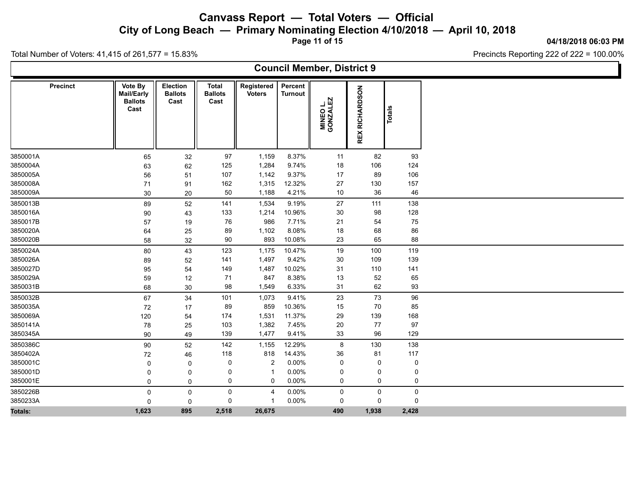**City of Long Beach — Primary Nominating Election 4/10/2018 — April 10, 2018**

**Page 11 of 15**

**04/18/2018 06:03 PM**

Ъ

Precincts Reporting 222 of 222 = 100.00%

|                 |                                                 |                                    |                                        |                             |                           | <b>Council Member, District 9</b> |                       |               |  |
|-----------------|-------------------------------------------------|------------------------------------|----------------------------------------|-----------------------------|---------------------------|-----------------------------------|-----------------------|---------------|--|
| <b>Precinct</b> | Vote By<br>Mail/Early<br><b>Ballots</b><br>Cast | Election<br><b>Ballots</b><br>Cast | <b>Total</b><br><b>Ballots</b><br>Cast | Registered<br><b>Voters</b> | Percent<br><b>Turnout</b> | MINEO L.<br>GONZALEZ              | <b>REX RICHARDSON</b> | <b>Totals</b> |  |
| 3850001A        | 65                                              | 32                                 | 97                                     | 1,159                       | 8.37%                     | 11                                | 82                    | 93            |  |
| 3850004A        | 63                                              | 62                                 | 125                                    | 1,284                       | 9.74%                     | 18                                | 106                   | 124           |  |
| 3850005A        | 56                                              | 51                                 | 107                                    | 1,142                       | 9.37%                     | 17                                | 89                    | 106           |  |
| 3850008A        | 71                                              | 91                                 | 162                                    | 1,315                       | 12.32%                    | 27                                | 130                   | 157           |  |
| 3850009A        | 30                                              | 20                                 | 50                                     | 1,188                       | 4.21%                     | 10                                | $36\,$                | 46            |  |
| 3850013B        | 89                                              | 52                                 | 141                                    | 1,534                       | 9.19%                     | 27                                | 111                   | 138           |  |
| 3850016A        | 90                                              | 43                                 | 133                                    | 1,214                       | 10.96%                    | 30                                | 98                    | 128           |  |
| 3850017B        | 57                                              | 19                                 | 76                                     | 986                         | 7.71%                     | 21                                | 54                    | 75            |  |
| 3850020A        | 64                                              | 25                                 | 89                                     | 1,102                       | 8.08%                     | 18                                | 68                    | 86            |  |
| 3850020B        | 58                                              | 32                                 | 90                                     | 893                         | 10.08%                    | 23                                | 65                    | 88            |  |
| 3850024A        | 80                                              | 43                                 | 123                                    | 1,175                       | 10.47%                    | 19                                | 100                   | 119           |  |
| 3850026A        | 89                                              | 52                                 | 141                                    | 1,497                       | 9.42%                     | 30                                | 109                   | 139           |  |
| 3850027D        | 95                                              | 54                                 | 149                                    | 1,487                       | 10.02%                    | 31                                | 110                   | 141           |  |
| 3850029A        | 59                                              | 12                                 | 71                                     | 847                         | 8.38%                     | 13                                | 52                    | 65            |  |
| 3850031B        | 68                                              | 30                                 | 98                                     | 1,549                       | 6.33%                     | 31                                | 62                    | 93            |  |
| 3850032B        | 67                                              | 34                                 | 101                                    | 1,073                       | 9.41%                     | 23                                | $73\,$                | 96            |  |
| 3850035A        | 72                                              | 17                                 | 89                                     | 859                         | 10.36%                    | 15                                | 70                    | 85            |  |
| 3850069A        | 120                                             | 54                                 | 174                                    | 1,531                       | 11.37%                    | 29                                | 139                   | 168           |  |
| 3850141A        | 78                                              | 25                                 | 103                                    | 1,382                       | 7.45%                     | 20                                | 77                    | 97            |  |
| 3850345A        | 90                                              | 49                                 | 139                                    | 1,477                       | 9.41%                     | 33                                | 96                    | 129           |  |
| 3850386C        | 90                                              | 52                                 | 142                                    | 1,155                       | 12.29%                    | 8                                 | 130                   | 138           |  |
| 3850402A        | 72                                              | 46                                 | 118                                    | 818                         | 14.43%                    | 36                                | 81                    | 117           |  |
| 3850001C        | $\mathbf 0$                                     | 0                                  | 0                                      | $\overline{2}$              | 0.00%                     | 0                                 | 0                     | 0             |  |
| 3850001D        | $\Omega$                                        | $\mathbf 0$                        | 0                                      | $\overline{1}$              | 0.00%                     | 0                                 | 0                     | 0             |  |
| 3850001E        | $\mathbf 0$                                     | 0                                  | 0                                      | $\mathbf 0$                 | 0.00%                     | 0                                 | 0                     | 0             |  |
| 3850226B        | 0                                               | 0                                  | 0                                      | $\overline{4}$              | 0.00%                     | 0                                 | $\mathsf{O}$          | 0             |  |
| 3850233A        | $\mathbf 0$                                     | 0                                  | 0                                      | -1                          | 0.00%                     | 0                                 | 0                     | 0             |  |
| Totals:         | 1,623                                           | 895                                | 2,518                                  | 26,675                      |                           | 490                               | 1,938                 | 2,428         |  |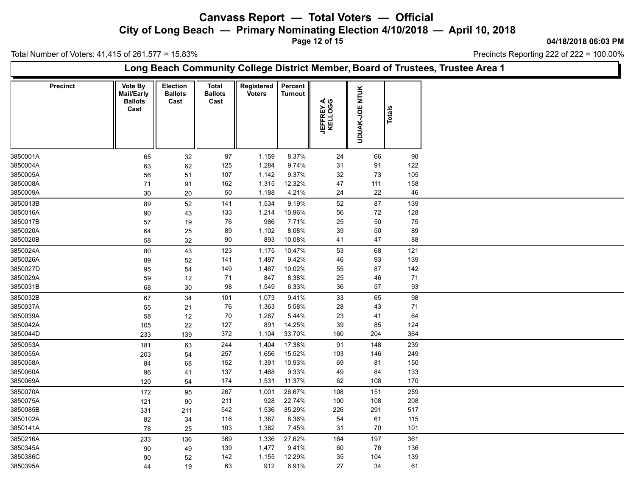**City of Long Beach — Primary Nominating Election 4/10/2018 — April 10, 2018**

**Page 12 of 15**

**04/18/2018 06:03 PM**

Ъ

Total Number of Voters: 41,415 of 261,577 = 15.83%

 $\Gamma$ 

|          |          |                                                 |                                    |                                        | Long Beach Community College District Member, Board of Trustees, Trustee Area 1 |                           |                               |                       |               |
|----------|----------|-------------------------------------------------|------------------------------------|----------------------------------------|---------------------------------------------------------------------------------|---------------------------|-------------------------------|-----------------------|---------------|
|          | Precinct | Vote By<br>Mail/Early<br><b>Ballots</b><br>Cast | Election<br><b>Ballots</b><br>Cast | <b>Total</b><br><b>Ballots</b><br>Cast | Registered<br><b>Voters</b>                                                     | Percent<br><b>Turnout</b> | <b>JEFFREY A.<br/>KELLOGG</b> | <b>UDUAK-JOE NTUK</b> | <b>Totals</b> |
| 3850001A |          | 65                                              | 32                                 | 97                                     | 1,159                                                                           | 8.37%                     | 24                            | 66                    | 90            |
| 3850004A |          | 63                                              | 62                                 | 125                                    | 1,284                                                                           | 9.74%                     | 31                            | 91                    | 122           |
| 3850005A |          | 56                                              | 51                                 | 107                                    | 1,142                                                                           | 9.37%                     | $32\,$                        | $73\,$                | 105           |
| 3850008A |          | 71                                              | 91                                 | 162                                    | 1,315                                                                           | 12.32%                    | 47                            | $111$                 | 158           |
| 3850009A |          | 30                                              | 20                                 | 50                                     | 1,188                                                                           | 4.21%                     | 24                            | 22                    | 46            |
| 3850013B |          | 89                                              | 52                                 | 141                                    | 1,534                                                                           | 9.19%                     | 52                            | 87                    | 139           |
| 3850016A |          | 90                                              | 43                                 | 133                                    | 1,214                                                                           | 10.96%                    | 56                            | $72\,$                | 128           |
| 3850017B |          | 57                                              | 19                                 | 76                                     | 986                                                                             | 7.71%                     | 25                            | 50                    | 75            |
| 3850020A |          | 64                                              | 25                                 | 89                                     | 1,102                                                                           | 8.08%                     | $39\,$                        | $50\,$                | 89            |
| 3850020B |          | 58                                              | 32                                 | 90                                     | 893                                                                             | 10.08%                    | 41                            | 47                    | 88            |
| 3850024A |          | 80                                              | 43                                 | 123                                    | 1,175                                                                           | 10.47%                    | 53                            | 68                    | 121           |
| 3850026A |          | 89                                              | 52                                 | 141                                    | 1,497                                                                           | 9.42%                     | 46                            | 93                    | 139           |
| 3850027D |          | 95                                              | 54                                 | 149                                    | 1,487                                                                           | 10.02%                    | 55                            | 87                    | 142           |
| 3850029A |          | 59                                              | 12                                 | 71                                     | 847                                                                             | 8.38%                     | 25                            | 46                    | $71$          |
| 3850031B |          | 68                                              | 30                                 | 98                                     | 1,549                                                                           | 6.33%                     | 36                            | 57                    | 93            |
| 3850032B |          | 67                                              | 34                                 | 101                                    | 1,073                                                                           | 9.41%                     | 33                            | 65                    | 98            |
| 3850037A |          | 55                                              | 21                                 | 76                                     | 1,363                                                                           | 5.58%                     | 28                            | 43                    | 71            |
| 3850039A |          | 58                                              | 12                                 | $70\,$                                 | 1,287                                                                           | 5.44%                     | 23                            | 41                    | 64            |
| 3850042A |          | 105                                             | 22                                 | 127                                    | 891                                                                             | 14.25%                    | 39                            | 85                    | 124           |
| 3850044D |          | 233                                             | 139                                | 372                                    | 1,104                                                                           | 33.70%                    | 160                           | 204                   | 364           |
| 3850053A |          | 181                                             | 63                                 | 244                                    | 1,404                                                                           | 17.38%                    | 91                            | 148                   | 239           |
| 3850055A |          | 203                                             | 54                                 | 257                                    | 1,656                                                                           | 15.52%                    | 103                           | 146                   | 249           |
| 3850058A |          | 84                                              | 68                                 | 152                                    | 1,391                                                                           | 10.93%                    | 69                            | 81                    | 150           |
| 3850060A |          | 96                                              | 41                                 | 137                                    | 1,468                                                                           | 9.33%                     | 49                            | 84                    | 133           |
| 3850069A |          | 120                                             | 54                                 | 174                                    | 1,531                                                                           | 11.37%                    | 62                            | 108                   | 170           |
| 3850070A |          | 172                                             | 95                                 | 267                                    | 1,001                                                                           | 26.67%                    | 108                           | 151                   | 259           |
| 3850075A |          | 121                                             | 90                                 | 211                                    | 928                                                                             | 22.74%                    | 100                           | 108                   | 208           |
| 3850085B |          | 331                                             | 211                                | 542                                    | 1,536                                                                           | 35.29%                    | 226                           | 291                   | 517           |
| 3850102A |          | 82                                              | 34                                 | 116                                    | 1,387                                                                           | 8.36%                     | 54                            | 61                    | 115           |
| 3850141A |          | 78                                              | 25                                 | 103                                    | 1,382                                                                           | 7.45%                     | 31                            | 70                    | 101           |
| 3850216A |          | 233                                             | 136                                | 369                                    | 1,336                                                                           | 27.62%                    | 164                           | 197                   | 361           |
| 3850345A |          | 90                                              | 49                                 | 139                                    | 1,477                                                                           | 9.41%                     | 60                            | 76                    | 136           |
| 3850386C |          | 90                                              | 52                                 | 142                                    | 1,155                                                                           | 12.29%                    | 35                            | 104                   | 139           |
| 3850395A |          | 44                                              | 19                                 | 63                                     | 912                                                                             | 6.91%                     | 27                            | 34                    | 61            |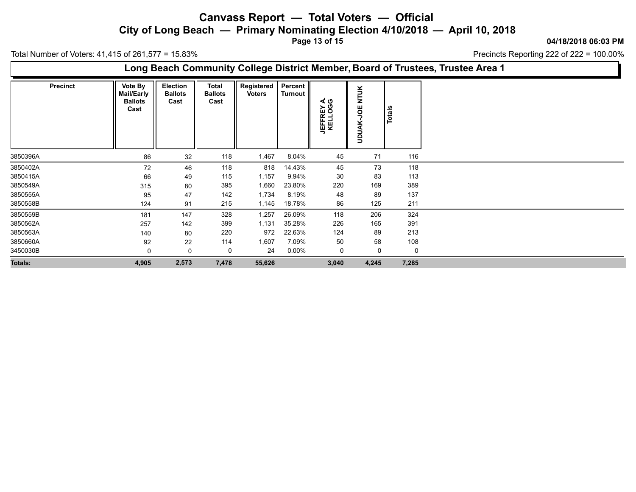**City of Long Beach — Primary Nominating Election 4/10/2018 — April 10, 2018**

**Page 13 of 15**

**04/18/2018 06:03 PM**

Total Number of Voters: 41,415 of 261,577 = 15.83%

|          |                 |                                                        |                                    |                                        |                             |                           |                               |                                          |               | Long Beach Community College District Member, Board of Trustees, Trustee Area 1 |
|----------|-----------------|--------------------------------------------------------|------------------------------------|----------------------------------------|-----------------------------|---------------------------|-------------------------------|------------------------------------------|---------------|---------------------------------------------------------------------------------|
|          | <b>Precinct</b> | Vote By<br><b>Mail/Early</b><br><b>Ballots</b><br>Cast | Election<br><b>Ballots</b><br>Cast | <b>Total</b><br><b>Ballots</b><br>Cast | Registered<br><b>Voters</b> | Percent<br><b>Turnout</b> | <b>JEFFREY A.<br/>KELLOGG</b> | $\leq$<br>Ę<br><b>MC</b><br><b>UDUAK</b> | <b>Totals</b> |                                                                                 |
| 3850396A |                 | 86                                                     | 32                                 | 118                                    | 1,467                       | 8.04%                     | 45                            | 71                                       | 116           |                                                                                 |
| 3850402A |                 | 72                                                     | 46                                 | 118                                    | 818                         | 14.43%                    | 45                            | 73                                       | 118           |                                                                                 |
| 3850415A |                 | 66                                                     | 49                                 | 115                                    | 1,157                       | 9.94%                     | 30                            | 83                                       | 113           |                                                                                 |
| 3850549A |                 | 315                                                    | 80                                 | 395                                    | 1,660                       | 23.80%                    | 220                           | 169                                      | 389           |                                                                                 |
| 3850555A |                 | 95                                                     | 47                                 | 142                                    | 1,734                       | 8.19%                     | 48                            | 89                                       | 137           |                                                                                 |
| 3850558B |                 | 124                                                    | 91                                 | 215                                    | 1,145                       | 18.78%                    | 86                            | 125                                      | 211           |                                                                                 |
| 3850559B |                 | 181                                                    | 147                                | 328                                    | 1,257                       | 26.09%                    | 118                           | 206                                      | 324           |                                                                                 |
| 3850562A |                 | 257                                                    | 142                                | 399                                    | 1,131                       | 35.28%                    | 226                           | 165                                      | 391           |                                                                                 |
| 3850563A |                 | 140                                                    | 80                                 | 220                                    | 972                         | 22.63%                    | 124                           | 89                                       | 213           |                                                                                 |
| 3850660A |                 | 92                                                     | 22                                 | 114                                    | 1,607                       | 7.09%                     | 50                            | 58                                       | 108           |                                                                                 |
| 3450030B |                 | 0                                                      | 0                                  | 0                                      | 24                          | $0.00\%$                  | 0                             | 0                                        | 0             |                                                                                 |
| Totals:  |                 | 4,905                                                  | 2,573                              | 7,478                                  | 55,626                      |                           | 3,040                         | 4,245                                    | 7,285         |                                                                                 |
|          |                 |                                                        |                                    |                                        |                             |                           |                               |                                          |               |                                                                                 |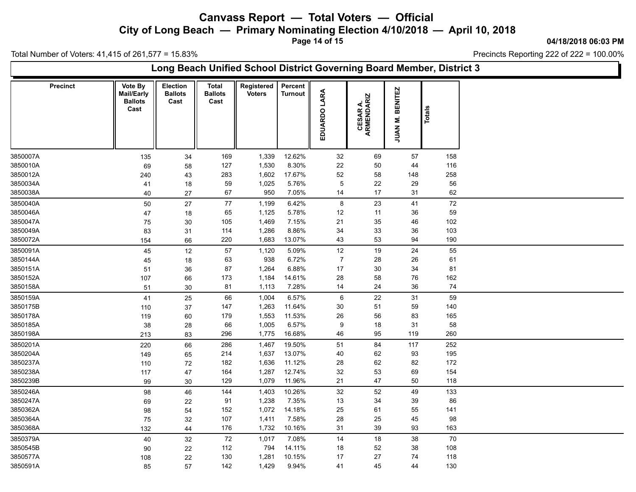**City of Long Beach — Primary Nominating Election 4/10/2018 — April 10, 2018**

**Page 14 of 15**

**04/18/2018 06:03 PM**

Ъ

Total Number of Voters: 41,415 of 261,577 = 15.83%

 $\Gamma$ 

|                 |                                                 |                                    |                                        | Long Beach Unified School District Governing Board Member, District 3 |                           |                |                        |                                       |        |  |
|-----------------|-------------------------------------------------|------------------------------------|----------------------------------------|-----------------------------------------------------------------------|---------------------------|----------------|------------------------|---------------------------------------|--------|--|
| <b>Precinct</b> | Vote By<br>Mail/Early<br><b>Ballots</b><br>Cast | Election<br><b>Ballots</b><br>Cast | <b>Total</b><br><b>Ballots</b><br>Cast | Registered<br><b>Voters</b>                                           | Percent<br><b>Turnout</b> | EDUARDO LARA   | CESAR A.<br>ARMENDARIZ | <b>BENITEZ</b><br>JUAN <sub>M</sub> . | Totals |  |
| 3850007A        | 135                                             | 34                                 | 169                                    | 1,339                                                                 | 12.62%                    | 32             | 69                     | 57                                    | 158    |  |
| 3850010A        | 69                                              | 58                                 | 127                                    | 1,530                                                                 | 8.30%                     | 22             | 50                     | 44                                    | 116    |  |
| 3850012A        | 240                                             | 43                                 | 283                                    | 1,602                                                                 | 17.67%                    | 52             | 58                     | 148                                   | 258    |  |
| 3850034A        | 41                                              | 18                                 | 59                                     | 1,025                                                                 | 5.76%                     | 5              | 22                     | 29                                    | 56     |  |
| 3850038A        | 40                                              | 27                                 | 67                                     | 950                                                                   | 7.05%                     | 14             | 17                     | 31                                    | 62     |  |
| 3850040A        | 50                                              | 27                                 | $77$                                   | 1,199                                                                 | 6.42%                     | 8              | 23                     | 41                                    | 72     |  |
| 3850046A        | 47                                              | 18                                 | 65                                     | 1,125                                                                 | 5.78%                     | 12             | 11                     | 36                                    | 59     |  |
| 3850047A        | 75                                              | 30                                 | 105                                    | 1,469                                                                 | 7.15%                     | 21             | 35                     | 46                                    | 102    |  |
| 3850049A        | 83                                              | 31                                 | 114                                    | 1,286                                                                 | 8.86%                     | 34             | 33                     | 36                                    | 103    |  |
| 3850072A        | 154                                             | 66                                 | 220                                    | 1,683                                                                 | 13.07%                    | 43             | 53                     | 94                                    | 190    |  |
| 3850091A        | 45                                              | 12                                 | 57                                     | 1,120                                                                 | 5.09%                     | 12             | 19                     | 24                                    | 55     |  |
| 3850144A        | 45                                              | 18                                 | 63                                     | 938                                                                   | 6.72%                     | $\overline{7}$ | 28                     | 26                                    | 61     |  |
| 3850151A        | 51                                              | 36                                 | 87                                     | 1,264                                                                 | 6.88%                     | 17             | 30                     | 34                                    | 81     |  |
| 3850152A        | 107                                             | 66                                 | 173                                    | 1,184                                                                 | 14.61%                    | 28             | 58                     | 76                                    | 162    |  |
| 3850158A        | 51                                              | 30                                 | 81                                     | 1,113                                                                 | 7.28%                     | 14             | 24                     | 36                                    | 74     |  |
| 3850159A        | 41                                              | 25                                 | 66                                     | 1,004                                                                 | 6.57%                     | 6              | 22                     | 31                                    | 59     |  |
| 3850175B        | 110                                             | 37                                 | 147                                    | 1,263                                                                 | 11.64%                    | 30             | 51                     | 59                                    | 140    |  |
| 3850178A        | 119                                             | 60                                 | 179                                    | 1,553                                                                 | 11.53%                    | 26             | 56                     | 83                                    | 165    |  |
| 3850185A        | 38                                              | 28                                 | 66                                     | 1,005                                                                 | 6.57%                     | 9              | 18                     | 31                                    | 58     |  |
| 3850198A        | 213                                             | 83                                 | 296                                    | 1,775                                                                 | 16.68%                    | 46             | 95                     | 119                                   | 260    |  |
| 3850201A        | 220                                             | 66                                 | 286                                    | 1,467                                                                 | 19.50%                    | 51             | 84                     | 117                                   | 252    |  |
| 3850204A        | 149                                             | 65                                 | 214                                    | 1,637                                                                 | 13.07%                    | 40             | 62                     | 93                                    | 195    |  |
| 3850237A        | 110                                             | 72                                 | 182                                    | 1,636                                                                 | 11.12%                    | 28             | 62                     | 82                                    | 172    |  |
| 3850238A        | 117                                             | 47                                 | 164                                    | 1,287                                                                 | 12.74%                    | 32             | 53                     | 69                                    | 154    |  |
| 3850239B        | 99                                              | 30                                 | 129                                    | 1,079                                                                 | 11.96%                    | 21             | 47                     | 50                                    | 118    |  |
| 3850246A        | 98                                              | 46                                 | 144                                    | 1,403                                                                 | 10.26%                    | 32             | 52                     | 49                                    | 133    |  |
| 3850247A        | 69                                              | 22                                 | 91                                     | 1,238                                                                 | 7.35%                     | 13             | 34                     | 39                                    | 86     |  |
| 3850362A        | 98                                              | 54                                 | 152                                    | 1,072                                                                 | 14.18%                    | 25             | 61                     | 55                                    | 141    |  |
| 3850364A        | 75                                              | 32                                 | 107                                    | 1,411                                                                 | 7.58%                     | 28             | 25                     | 45                                    | 98     |  |
| 3850368A        | 132                                             | 44                                 | 176                                    | 1,732                                                                 | 10.16%                    | 31             | 39                     | 93                                    | 163    |  |
| 3850379A        | 40                                              | 32                                 | 72                                     | 1,017                                                                 | 7.08%                     | 14             | $18$                   | 38                                    | $70\,$ |  |
| 3850545B        | 90                                              | 22                                 | 112                                    | 794                                                                   | 14.11%                    | 18             | 52                     | 38                                    | 108    |  |
| 3850577A        | 108                                             | 22                                 | 130                                    | 1,281                                                                 | 10.15%                    | 17             | 27                     | 74                                    | 118    |  |
| 3850591A        | 85                                              | 57                                 | 142                                    | 1,429                                                                 | 9.94%                     | 41             | 45                     | 44                                    | 130    |  |